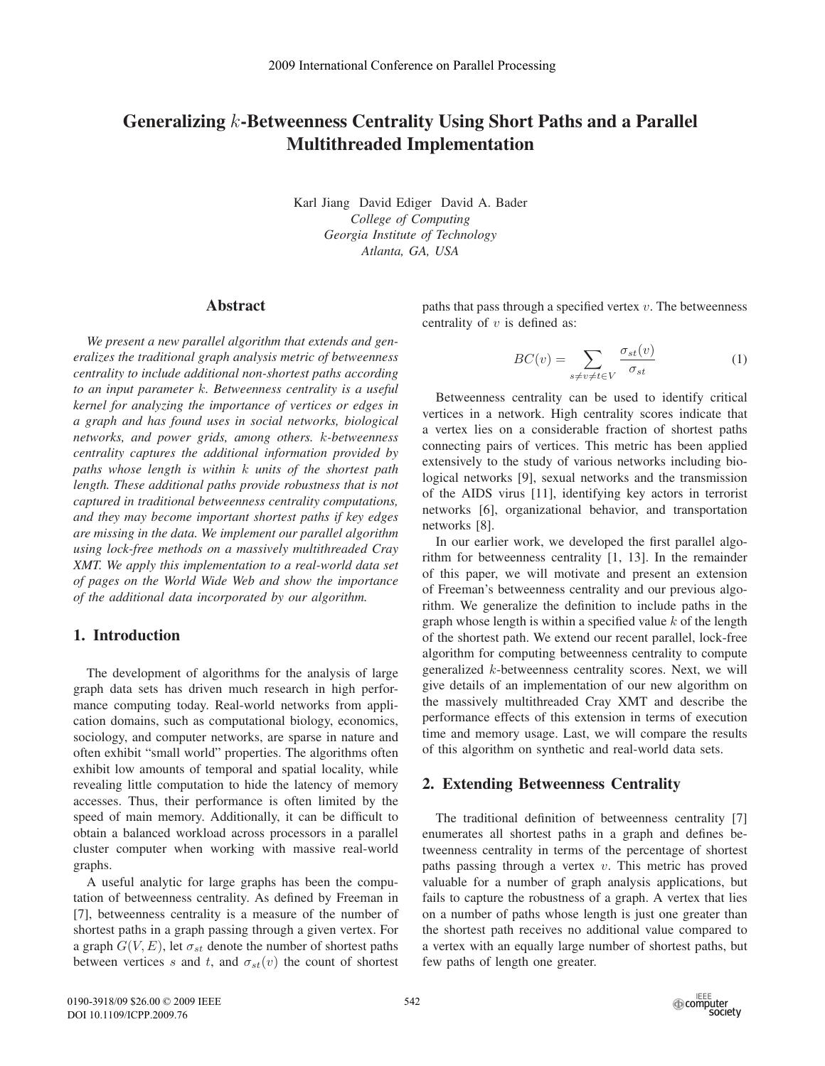# Generalizing k-Betweenness Centrality Using Short Paths and a Parallel Multithreaded Implementation

Karl Jiang David Ediger David A. Bader *College of Computing Georgia Institute of Technology Atlanta, GA, USA*

### Abstract

*We present a new parallel algorithm that extends and generalizes the traditional graph analysis metric of betweenness centrality to include additional non-shortest paths according to an input parameter* k*. Betweenness centrality is a useful kernel for analyzing the importance of vertices or edges in a graph and has found uses in social networks, biological networks, and power grids, among others.* k*-betweenness centrality captures the additional information provided by paths whose length is within* k *units of the shortest path length. These additional paths provide robustness that is not captured in traditional betweenness centrality computations, and they may become important shortest paths if key edges are missing in the data. We implement our parallel algorithm using lock-free methods on a massively multithreaded Cray XMT. We apply this implementation to a real-world data set of pages on the World Wide Web and show the importance of the additional data incorporated by our algorithm.*

## 1. Introduction

The development of algorithms for the analysis of large graph data sets has driven much research in high performance computing today. Real-world networks from application domains, such as computational biology, economics, sociology, and computer networks, are sparse in nature and often exhibit "small world" properties. The algorithms often exhibit low amounts of temporal and spatial locality, while revealing little computation to hide the latency of memory accesses. Thus, their performance is often limited by the speed of main memory. Additionally, it can be difficult to obtain a balanced workload across processors in a parallel cluster computer when working with massive real-world graphs.

A useful analytic for large graphs has been the computation of betweenness centrality. As defined by Freeman in [7], betweenness centrality is a measure of the number of shortest paths in a graph passing through a given vertex. For a graph  $G(V, E)$ , let  $\sigma_{st}$  denote the number of shortest paths between vertices s and t, and  $\sigma_{st}(v)$  the count of shortest

paths that pass through a specified vertex  $v$ . The betweenness centrality of  $v$  is defined as:

$$
BC(v) = \sum_{s \neq v \neq t \in V} \frac{\sigma_{st}(v)}{\sigma_{st}} \tag{1}
$$

Betweenness centrality can be used to identify critical vertices in a network. High centrality scores indicate that a vertex lies on a considerable fraction of shortest paths connecting pairs of vertices. This metric has been applied extensively to the study of various networks including biological networks [9], sexual networks and the transmission of the AIDS virus [11], identifying key actors in terrorist networks [6], organizational behavior, and transportation networks [8].

In our earlier work, we developed the first parallel algorithm for betweenness centrality [1, 13]. In the remainder of this paper, we will motivate and present an extension of Freeman's betweenness centrality and our previous algorithm. We generalize the definition to include paths in the graph whose length is within a specified value  $k$  of the length of the shortest path. We extend our recent parallel, lock-free algorithm for computing betweenness centrality to compute generalized k-betweenness centrality scores. Next, we will give details of an implementation of our new algorithm on the massively multithreaded Cray XMT and describe the performance effects of this extension in terms of execution time and memory usage. Last, we will compare the results of this algorithm on synthetic and real-world data sets.

### 2. Extending Betweenness Centrality

The traditional definition of betweenness centrality [7] enumerates all shortest paths in a graph and defines betweenness centrality in terms of the percentage of shortest paths passing through a vertex  $v$ . This metric has proved valuable for a number of graph analysis applications, but fails to capture the robustness of a graph. A vertex that lies on a number of paths whose length is just one greater than the shortest path receives no additional value compared to a vertex with an equally large number of shortest paths, but few paths of length one greater.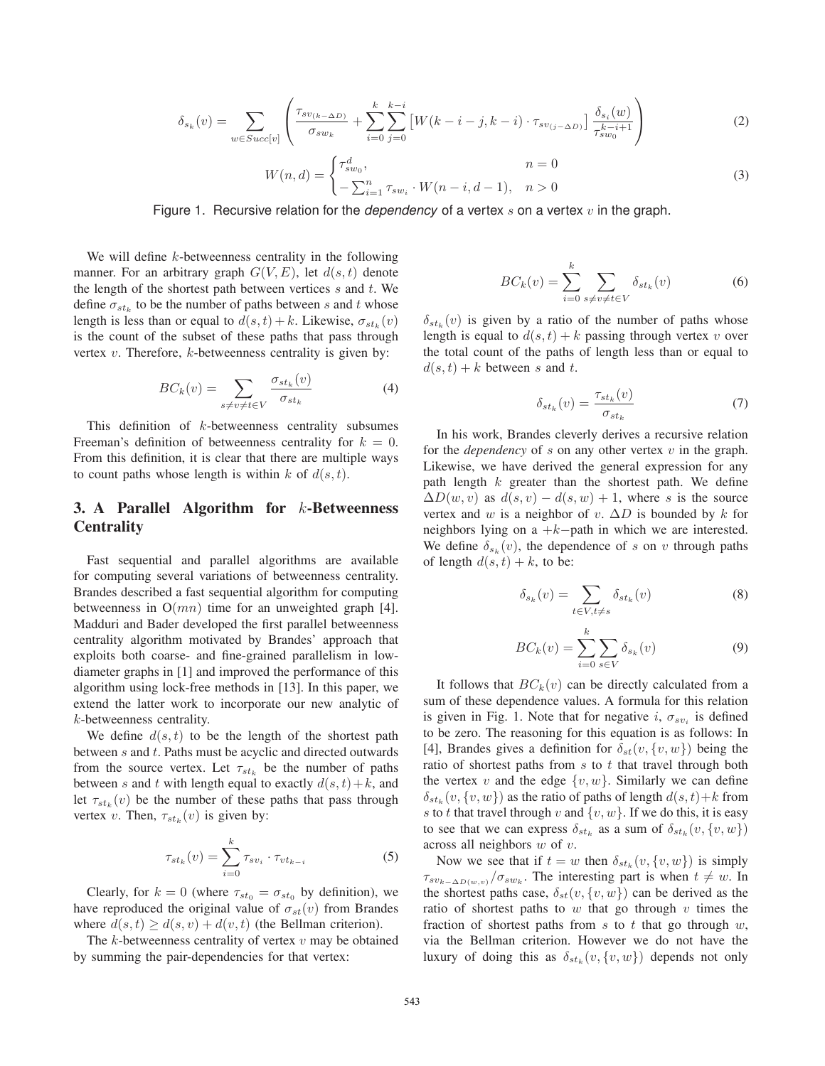$$
\delta_{s_k}(v) = \sum_{w \in Succ[v]} \left( \frac{\tau_{sv_{(k-\Delta D)}}}{\sigma_{sw_k}} + \sum_{i=0}^k \sum_{j=0}^{k-i} \left[ W(k-i-j, k-i) \cdot \tau_{sv_{(j-\Delta D)}} \right] \frac{\delta_{s_i}(w)}{\tau_{sw_0}^{k-i+1}} \right)
$$
(2)

$$
W(n,d) = \begin{cases} \tau_{sw_0}^d, & n = 0\\ -\sum_{i=1}^n \tau_{sw_i} \cdot W(n-i, d-1), & n > 0 \end{cases}
$$
 (3)

Figure 1. Recursive relation for the *dependency* of a vertex  $s$  on a vertex  $v$  in the graph.

We will define  $k$ -betweenness centrality in the following manner. For an arbitrary graph  $G(V, E)$ , let  $d(s, t)$  denote the length of the shortest path between vertices  $s$  and  $t$ . We define  $\sigma_{st}$  to be the number of paths between s and t whose length is less than or equal to  $d(s, t) + k$ . Likewise,  $\sigma_{st_k}(v)$ is the count of the subset of these paths that pass through vertex  $v$ . Therefore,  $k$ -betweenness centrality is given by:

$$
BC_k(v) = \sum_{s \neq v \neq t \in V} \frac{\sigma_{st_k}(v)}{\sigma_{st_k}} \tag{4}
$$

This definition of k-betweenness centrality subsumes Freeman's definition of betweenness centrality for  $k = 0$ . From this definition, it is clear that there are multiple ways to count paths whose length is within k of  $d(s, t)$ .

# 3. A Parallel Algorithm for  $k$ -Betweenness **Centrality**

Fast sequential and parallel algorithms are available for computing several variations of betweenness centrality. Brandes described a fast sequential algorithm for computing betweenness in  $O(mn)$  time for an unweighted graph [4]. Madduri and Bader developed the first parallel betweenness centrality algorithm motivated by Brandes' approach that exploits both coarse- and fine-grained parallelism in lowdiameter graphs in [1] and improved the performance of this algorithm using lock-free methods in [13]. In this paper, we extend the latter work to incorporate our new analytic of k-betweenness centrality.

We define  $d(s, t)$  to be the length of the shortest path between s and t. Paths must be acyclic and directed outwards from the source vertex. Let  $\tau_{st_k}$  be the number of paths between s and t with length equal to exactly  $d(s, t) + k$ , and let  $\tau_{st_k}(v)$  be the number of these paths that pass through vertex v. Then,  $\tau_{st_k}(v)$  is given by:

$$
\tau_{st_k}(v) = \sum_{i=0}^k \tau_{sv_i} \cdot \tau_{vt_{k-i}} \tag{5}
$$

Clearly, for  $k = 0$  (where  $\tau_{st_0} = \sigma_{st_0}$  by definition), we have reproduced the original value of  $\sigma_{st}(v)$  from Brandes where  $d(s, t) \geq d(s, v) + d(v, t)$  (the Bellman criterion).

The  $k$ -betweenness centrality of vertex  $v$  may be obtained by summing the pair-dependencies for that vertex:

$$
BC_k(v) = \sum_{i=0}^k \sum_{s \neq v \neq t \in V} \delta_{st_k}(v)
$$
 (6)

 $\delta_{st_k}(v)$  is given by a ratio of the number of paths whose length is equal to  $d(s, t) + k$  passing through vertex v over the total count of the paths of length less than or equal to  $d(s, t) + k$  between s and t.

$$
\delta_{st_k}(v) = \frac{\tau_{st_k}(v)}{\sigma_{st_k}}\tag{7}
$$

In his work, Brandes cleverly derives a recursive relation for the *dependency* of s on any other vertex  $v$  in the graph. Likewise, we have derived the general expression for any path length  $k$  greater than the shortest path. We define  $\Delta D(w, v)$  as  $d(s, v) - d(s, w) + 1$ , where s is the source vertex and w is a neighbor of v.  $\Delta D$  is bounded by k for neighbors lying on a  $+k$ −path in which we are interested. We define  $\delta_{s_k}(v)$ , the dependence of s on v through paths of length  $d(s, t) + k$ , to be:

$$
\delta_{s_k}(v) = \sum_{t \in V, t \neq s} \delta_{st_k}(v) \tag{8}
$$

$$
BC_k(v) = \sum_{i=0}^k \sum_{s \in V} \delta_{s_k}(v)
$$
\n(9)

It follows that  $BC_k(v)$  can be directly calculated from a sum of these dependence values. A formula for this relation is given in Fig. 1. Note that for negative i,  $\sigma_{sv_i}$  is defined to be zero. The reasoning for this equation is as follows: In [4], Brandes gives a definition for  $\delta_{st}(v, \{v, w\})$  being the ratio of shortest paths from  $s$  to  $t$  that travel through both the vertex v and the edge  $\{v, w\}$ . Similarly we can define  $\delta_{st_k}(v, \{v, w\})$  as the ratio of paths of length  $d(s, t) + k$  from s to t that travel through v and  $\{v, w\}$ . If we do this, it is easy to see that we can express  $\delta_{st_k}$  as a sum of  $\delta_{st_k}(v, \{v, w\})$ across all neighbors  $w$  of  $v$ .

Now we see that if  $t = w$  then  $\delta_{st_k}(v, \{v, w\})$  is simply  $\tau_{sv_{k-\Delta D(w,v)}}/\sigma_{sw_k}$ . The interesting part is when  $t \neq w$ . In the shortest paths case,  $\delta_{st}(v, \{v, w\})$  can be derived as the ratio of shortest paths to  $w$  that go through  $v$  times the fraction of shortest paths from  $s$  to  $t$  that go through  $w$ , via the Bellman criterion. However we do not have the luxury of doing this as  $\delta_{st_k}(v, \{v, w\})$  depends not only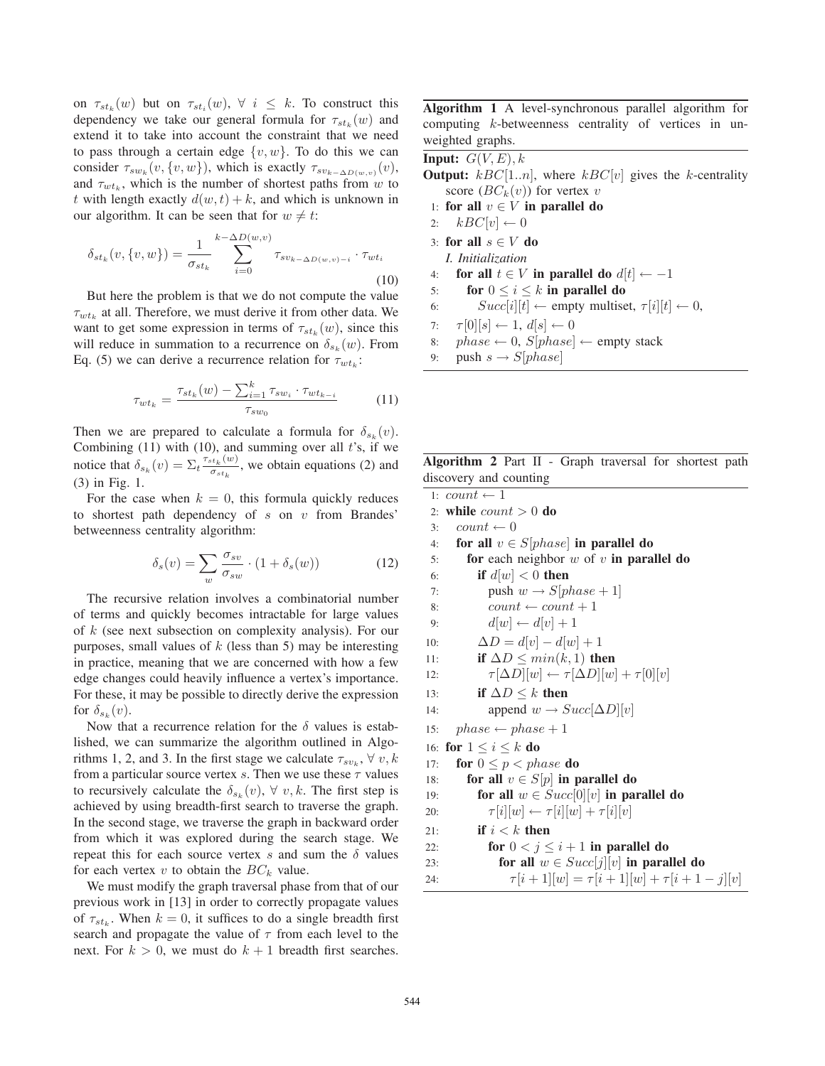on  $\tau_{st_k}(w)$  but on  $\tau_{st_i}(w)$ ,  $\forall i \leq k$ . To construct this dependency we take our general formula for  $\tau_{st_k}(w)$  and extend it to take into account the constraint that we need to pass through a certain edge  $\{v, w\}$ . To do this we can consider  $\tau_{sw_k}(v, \{v, w\})$ , which is exactly  $\tau_{sv_{k-\Delta D(w,v)}}(v)$ , and  $\tau_{wt_k}$ , which is the number of shortest paths from w to t with length exactly  $d(w, t) + k$ , and which is unknown in our algorithm. It can be seen that for  $w \neq t$ :

$$
\delta_{st_k}(v, \{v, w\}) = \frac{1}{\sigma_{st_k}} \sum_{i=0}^{k - \Delta D(w, v)} \tau_{sv_{k - \Delta D(w, v) - i}} \cdot \tau_{wt_i}
$$
\n(10)

But here the problem is that we do not compute the value  $\tau_{wt_k}$  at all. Therefore, we must derive it from other data. We want to get some expression in terms of  $\tau_{st_k}(w)$ , since this will reduce in summation to a recurrence on  $\delta_{s_k}(w)$ . From Eq. (5) we can derive a recurrence relation for  $\tau_{wt_k}$ :

$$
\tau_{wt_k} = \frac{\tau_{st_k}(w) - \sum_{i=1}^k \tau_{sw_i} \cdot \tau_{wt_{k-i}}}{\tau_{sw_0}}
$$
(11)

Then we are prepared to calculate a formula for  $\delta_{s_k}(v)$ . Combining  $(11)$  with  $(10)$ , and summing over all t's, if we notice that  $\delta_{s_k}(v) = \sum_t \frac{\tau_{st_k}(w)}{\sigma_{st_k}}$  $\frac{\partial t_k(u)}{\partial s_t}$ , we obtain equations (2) and (3) in Fig. 1.

For the case when  $k = 0$ , this formula quickly reduces to shortest path dependency of s on  $v$  from Brandes' betweenness centrality algorithm:

$$
\delta_s(v) = \sum_{w} \frac{\sigma_{sv}}{\sigma_{sw}} \cdot (1 + \delta_s(w)) \tag{12}
$$

The recursive relation involves a combinatorial number of terms and quickly becomes intractable for large values of k (see next subsection on complexity analysis). For our purposes, small values of  $k$  (less than 5) may be interesting in practice, meaning that we are concerned with how a few edge changes could heavily influence a vertex's importance. For these, it may be possible to directly derive the expression for  $\delta_{s_k}(v)$ .

Now that a recurrence relation for the  $\delta$  values is established, we can summarize the algorithm outlined in Algorithms 1, 2, and 3. In the first stage we calculate  $\tau_{sv_k}$ ,  $\forall v, k$ from a particular source vertex s. Then we use these  $\tau$  values to recursively calculate the  $\delta_{s_k}(v)$ ,  $\forall v, k$ . The first step is achieved by using breadth-first search to traverse the graph. In the second stage, we traverse the graph in backward order from which it was explored during the search stage. We repeat this for each source vertex s and sum the  $\delta$  values for each vertex v to obtain the  $BC_k$  value.

We must modify the graph traversal phase from that of our previous work in [13] in order to correctly propagate values of  $\tau_{st_k}$ . When  $k = 0$ , it suffices to do a single breadth first search and propagate the value of  $\tau$  from each level to the next. For  $k > 0$ , we must do  $k + 1$  breadth first searches.

Algorithm 1 A level-synchronous parallel algorithm for computing k-betweenness centrality of vertices in unweighted graphs.

#### **Input:**  $G(V, E)$ ,  $k$

- **Output:**  $kBC[1..n]$ , where  $kBC[v]$  gives the k-centrality score  $(BC_k(v))$  for vertex v
- 1: for all  $v \in V$  in parallel do<br>2:  $kBC[v] \leftarrow 0$
- $kBC[v] \leftarrow 0$
- 3: for all  $s \in V$  do *I. Initialization*
- 4: for all  $t \in V$  in parallel do  $d[t] \leftarrow -1$
- 
- 5: **for**  $0 \le i \le k$  **in parallel do**<br>6: **Succillet**  $\leftarrow$  **empty multise**  $Succ[i][t] \leftarrow$  empty multiset,  $\tau[i][t] \leftarrow 0$ ,
- 7:  $\tau[0][s] \leftarrow 1, d[s] \leftarrow 0$ <br>8:  $phase \leftarrow 0, S[phase]$
- 8:  $phase \leftarrow 0$ ,  $S[phase] \leftarrow empty$  stack<br>9:  $push \ s \rightarrow S[phase]$
- push  $s \rightarrow S[phase]$

Algorithm 2 Part II - Graph traversal for shortest path discovery and counting

- 1:  $count \leftarrow 1$
- 2: while  $count > 0$  do
- 3:  $count \leftarrow 0$ <br>4: **for all**  $v \in$
- 4: **for all**  $v \in S[phase]$  **in parallel do**<br>5: **for** each neighbor w of v **in para**
- for each neighbor  $w$  of  $v$  in parallel do
- 6: if  $d[w] < 0$  then
- 7: push  $w \rightarrow S[phase + 1]$ <br>8:  $count \leftarrow count + 1$
- 8:  $count \leftarrow count + 1$ <br>9:  $d[w] \leftarrow d[v] + 1$
- $d[w] \leftarrow d[v] + 1$
- 10:  $\Delta D = d[v] d[w] + 1$ <br>11: **if**  $\Delta D \leq min(k, 1)$  the
- 11: **if**  $\Delta D \leq min(k, 1)$  then<br>12:  $\tau[\Delta D][w] \leftarrow \tau[\Delta D][w]$

12: 
$$
\tau[\Delta D][w] \leftarrow \tau[\Delta D][w] + \tau[0][v]
$$

- 13: **if**  $\Delta D \le k$  **then**<br>14: **append**  $w \rightarrow S$
- append  $w \rightarrow Succ[\Delta D][v]$

```
15: phase \leftarrow phase + 1
```
- 16: **for**  $1 \leq i \leq k$  **do**<br>17: **for**  $0 \leq p \leq ph$
- 17: **for**  $0 \leq p < phase$  **do**<br>18: **for all**  $v \in S[p]$  **in n**
- 
- 18: **for all**  $v \in S[p]$  in parallel do 19: **for all**  $w \in Succ[0][v]$  in parallel 19: **for all**  $w \in Succ[0][v]$  **in parallel do**<br>20:  $\tau[i][w] \leftarrow \tau[i][w] + \tau[i][v]$

$$
\tau[i][w] \leftarrow \tau[i][w] + \tau[i][v]
$$

- 21: if  $i < k$  then
- 22: for  $0 < j \leq i + 1$  in parallel do<br>
23: for all  $w \in Succ[i][v]$  in para
	-
- 23: **for all**  $w \in Succ[j][v]$  in parallel do<br>  $\tau[i+1][w] = \tau[i+1][w] + \tau[i+1]$  $\tau[i + 1][w] = \tau[i + 1][w] + \tau[i + 1 - j][v]$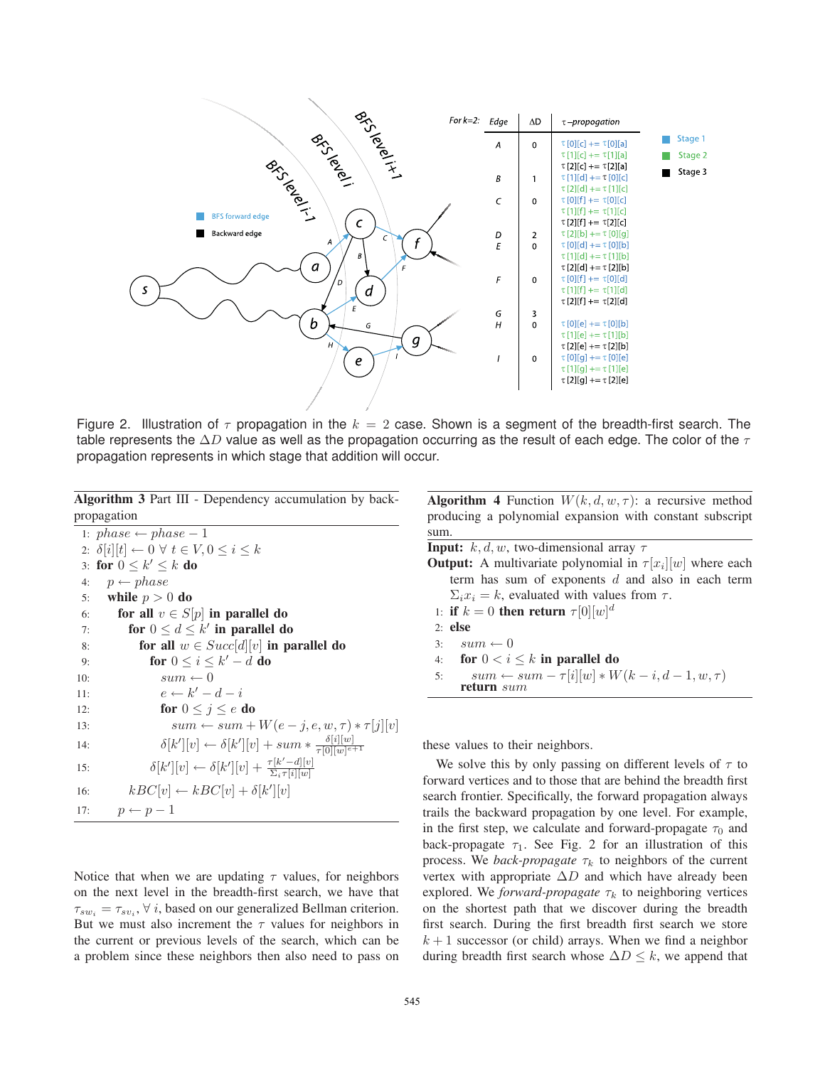

Figure 2. Illustration of  $\tau$  propagation in the  $k = 2$  case. Shown is a segment of the breadth-first search. The table represents the  $\Delta D$  value as well as the propagation occurring as the result of each edge. The color of the  $\tau$ propagation represents in which stage that addition will occur.

Algorithm 3 Part III - Dependency accumulation by backpropagation

|     | 1: $phase \leftarrow phase - 1$                                                        |
|-----|----------------------------------------------------------------------------------------|
|     | 2: $\delta[i][t] \leftarrow 0 \ \forall \ t \in V, 0 \leq i \leq k$                    |
|     | 3: for $0 \le k' \le k$ do                                                             |
| 4:  | $p \leftarrow phase$                                                                   |
|     | 5: while $p > 0$ do                                                                    |
| 6:  | for all $v \in S[p]$ in parallel do                                                    |
| 7:  | for $0 \le d \le k'$ in parallel do                                                    |
| 8:  | for all $w \in Succ[d][v]$ in parallel do                                              |
| 9:  | <b>for</b> $0 \le i \le k' - d$ <b>do</b>                                              |
| 10: | $sum \leftarrow 0$                                                                     |
| 11: | $e \leftarrow k' - d - i$                                                              |
| 12: | for $0 \leq j \leq e$ do                                                               |
| 13: | $sum \leftarrow sum + W(e - j, e, w, \tau) * \tau[j][v]$                               |
| 14: | $\delta[k'][v] \leftarrow \delta[k'][v] + sum * \frac{\delta[i][w]}{\tau[0][w]^{e+1}}$ |
| 15: | $\delta[k'][v] \leftarrow \delta[k'][v] + \frac{\tau[k'-d][v]}{\sum_i \tau[i][w]}$     |
| 16: | $kBC[v] \leftarrow kBC[v] + \delta[k'][v]$                                             |
| 17: | $p \leftarrow p-1$                                                                     |

Notice that when we are updating  $\tau$  values, for neighbors on the next level in the breadth-first search, we have that  $\tau_{sw_i} = \tau_{sv_i}, \forall i$ , based on our generalized Bellman criterion. But we must also increment the  $\tau$  values for neighbors in the current or previous levels of the search, which can be a problem since these neighbors then also need to pass on

**Algorithm 4** Function  $W(k, d, w, \tau)$ : a recursive method producing a polynomial expansion with constant subscript sum.

**Input:**  $k, d, w$ , two-dimensional array  $\tau$ 

- **Output:** A multivariate polynomial in  $\tau[x_i][w]$  where each term has sum of exponents  $d$  and also in each term  $\Sigma_i x_i = k$ , evaluated with values from  $\tau$ . 1: if  $k = 0$  then return  $\tau[0][w]^d$ 
	-
- 2: else
- 3:  $sum \leftarrow 0$ <br>4: **for**  $0 < i$
- 4: for  $0 < i \leq k$  in parallel do<br>5:  $sum \leftarrow sum \tau[i][w] * W$
- $sum \leftarrow sum \tau[i][w] * W(k i, d 1, w, \tau)$ return sum

these values to their neighbors.

We solve this by only passing on different levels of  $\tau$  to forward vertices and to those that are behind the breadth first search frontier. Specifically, the forward propagation always trails the backward propagation by one level. For example, in the first step, we calculate and forward-propagate  $\tau_0$  and back-propagate  $\tau_1$ . See Fig. 2 for an illustration of this process. We *back-propagate*  $\tau_k$  to neighbors of the current vertex with appropriate  $\Delta D$  and which have already been explored. We *forward-propagate*  $\tau_k$  to neighboring vertices on the shortest path that we discover during the breadth first search. During the first breadth first search we store  $k + 1$  successor (or child) arrays. When we find a neighbor during breadth first search whose  $\Delta D \leq k$ , we append that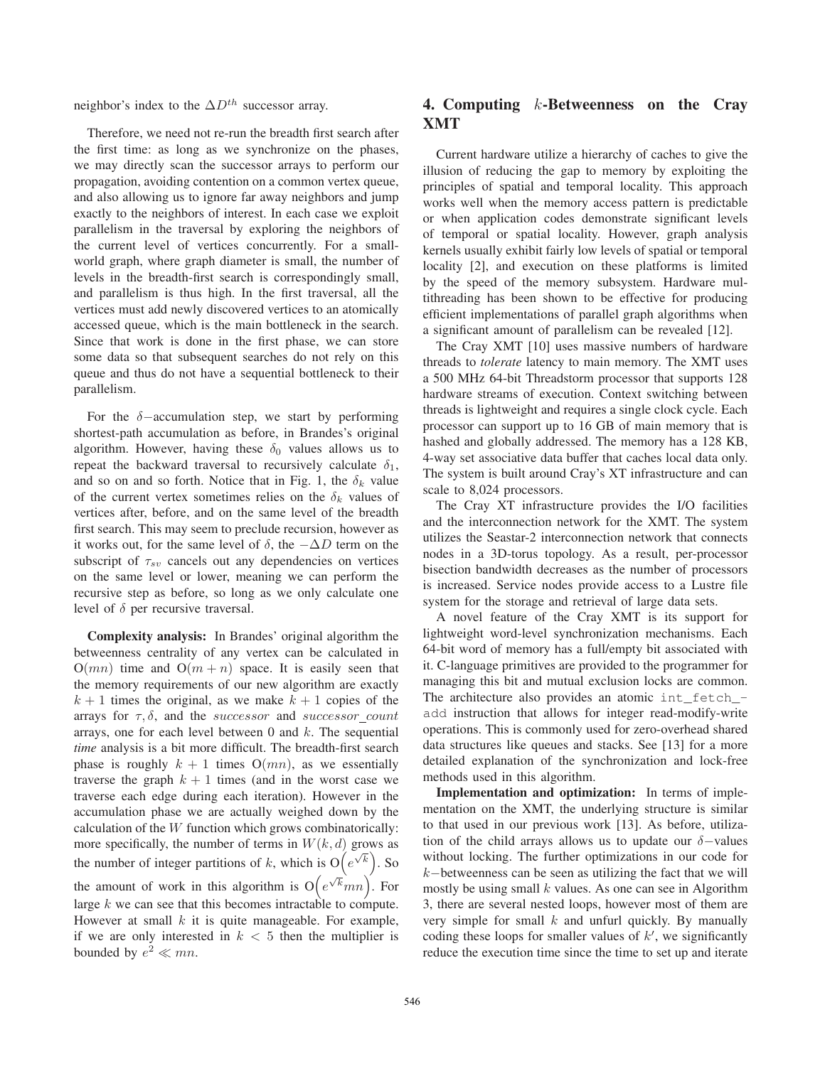neighbor's index to the  $\Delta D^{th}$  successor array.

Therefore, we need not re-run the breadth first search after the first time: as long as we synchronize on the phases, we may directly scan the successor arrays to perform our propagation, avoiding contention on a common vertex queue, and also allowing us to ignore far away neighbors and jump exactly to the neighbors of interest. In each case we exploit parallelism in the traversal by exploring the neighbors of the current level of vertices concurrently. For a smallworld graph, where graph diameter is small, the number of levels in the breadth-first search is correspondingly small, and parallelism is thus high. In the first traversal, all the vertices must add newly discovered vertices to an atomically accessed queue, which is the main bottleneck in the search. Since that work is done in the first phase, we can store some data so that subsequent searches do not rely on this queue and thus do not have a sequential bottleneck to their parallelism.

For the  $\delta$ -accumulation step, we start by performing shortest-path accumulation as before, in Brandes's original algorithm. However, having these  $\delta_0$  values allows us to repeat the backward traversal to recursively calculate  $\delta_1$ , and so on and so forth. Notice that in Fig. 1, the  $\delta_k$  value of the current vertex sometimes relies on the  $\delta_k$  values of vertices after, before, and on the same level of the breadth first search. This may seem to preclude recursion, however as it works out, for the same level of  $\delta$ , the  $-\Delta D$  term on the subscript of  $\tau_{sv}$  cancels out any dependencies on vertices on the same level or lower, meaning we can perform the recursive step as before, so long as we only calculate one level of  $\delta$  per recursive traversal.

Complexity analysis: In Brandes' original algorithm the betweenness centrality of any vertex can be calculated in  $O(mn)$  time and  $O(m + n)$  space. It is easily seen that the memory requirements of our new algorithm are exactly  $k + 1$  times the original, as we make  $k + 1$  copies of the arrays for  $\tau$ ,  $\delta$ , and the successor and successor\_count arrays, one for each level between  $0$  and  $k$ . The sequential *time* analysis is a bit more difficult. The breadth-first search phase is roughly  $k + 1$  times  $O(mn)$ , as we essentially traverse the graph  $k + 1$  times (and in the worst case we traverse each edge during each iteration). However in the accumulation phase we are actually weighed down by the calculation of the W function which grows combinatorically: more specifically, the number of terms in  $W(k, d)$  grows as the number of integer partitions of k, which is  $O(e^{\sqrt{k}})$ . So the amount of work in this algorithm is  $O(e^{\sqrt{k}}mn)$ . For large  $k$  we can see that this becomes intractable to compute. However at small  $k$  it is quite manageable. For example, if we are only interested in  $k < 5$  then the multiplier is bounded by  $e^2 \ll mn$ .

# 4. Computing k-Betweenness on the Cray XMT

Current hardware utilize a hierarchy of caches to give the illusion of reducing the gap to memory by exploiting the principles of spatial and temporal locality. This approach works well when the memory access pattern is predictable or when application codes demonstrate significant levels of temporal or spatial locality. However, graph analysis kernels usually exhibit fairly low levels of spatial or temporal locality [2], and execution on these platforms is limited by the speed of the memory subsystem. Hardware multithreading has been shown to be effective for producing efficient implementations of parallel graph algorithms when a significant amount of parallelism can be revealed [12].

The Cray XMT [10] uses massive numbers of hardware threads to *tolerate* latency to main memory. The XMT uses a 500 MHz 64-bit Threadstorm processor that supports 128 hardware streams of execution. Context switching between threads is lightweight and requires a single clock cycle. Each processor can support up to 16 GB of main memory that is hashed and globally addressed. The memory has a 128 KB, 4-way set associative data buffer that caches local data only. The system is built around Cray's XT infrastructure and can scale to 8,024 processors.

The Cray XT infrastructure provides the I/O facilities and the interconnection network for the XMT. The system utilizes the Seastar-2 interconnection network that connects nodes in a 3D-torus topology. As a result, per-processor bisection bandwidth decreases as the number of processors is increased. Service nodes provide access to a Lustre file system for the storage and retrieval of large data sets.

A novel feature of the Cray XMT is its support for lightweight word-level synchronization mechanisms. Each 64-bit word of memory has a full/empty bit associated with it. C-language primitives are provided to the programmer for managing this bit and mutual exclusion locks are common. The architecture also provides an atomic int  $f$ etch add instruction that allows for integer read-modify-write operations. This is commonly used for zero-overhead shared data structures like queues and stacks. See [13] for a more detailed explanation of the synchronization and lock-free methods used in this algorithm.

Implementation and optimization: In terms of implementation on the XMT, the underlying structure is similar to that used in our previous work [13]. As before, utilization of the child arrays allows us to update our  $\delta$ -values without locking. The further optimizations in our code for  $k$ −betweenness can be seen as utilizing the fact that we will mostly be using small  $k$  values. As one can see in Algorithm 3, there are several nested loops, however most of them are very simple for small  $k$  and unfurl quickly. By manually coding these loops for smaller values of  $k'$ , we significantly reduce the execution time since the time to set up and iterate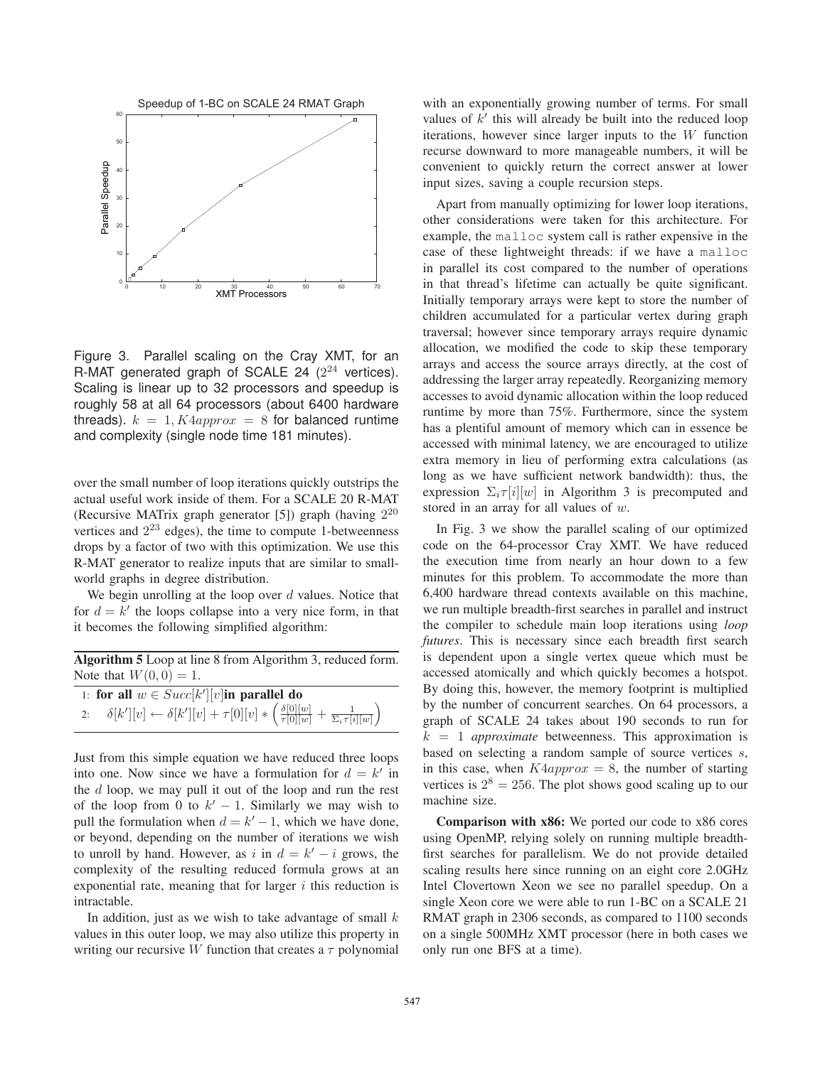

Figure 3. Parallel scaling on the Cray XMT, for an R-MAT generated graph of SCALE 24  $(2^{24}$  vertices). Scaling is linear up to 32 processors and speedup is roughly 58 at all 64 processors (about 6400 hardware threads).  $k = 1, K4approx = 8$  for balanced runtime and complexity (single node time 181 minutes).

over the small number of loop iterations quickly outstrips the actual useful work inside of them. For a SCALE 20 R-MAT (Recursive MATrix graph generator [5]) graph (having  $2^{20}$ vertices and  $2^{23}$  edges), the time to compute 1-betweenness drops by a factor of two with this optimization. We use this R-MAT generator to realize inputs that are similar to smallworld graphs in degree distribution.

We begin unrolling at the loop over  $d$  values. Notice that for  $d = k'$  the loops collapse into a very nice form, in that it becomes the following simplified algorithm:

| <b>Algorithm 5</b> Loop at line 8 from Algorithm 3, reduced form. |  |
|-------------------------------------------------------------------|--|
| Note that $W(0,0) = 1$ .                                          |  |
| 1: for all $w \in Succ[k'][v]$ in parallel do<br>$\sqrt{65.21}$   |  |

|  |  | 2: $\delta[k'][v] \leftarrow \delta[k'][v] + \tau[0][v] * (\frac{\delta[0][w]}{\tau[0][w]} + \frac{1}{\sum_i \tau[i][w]})$ |  |  |  |
|--|--|----------------------------------------------------------------------------------------------------------------------------|--|--|--|
|--|--|----------------------------------------------------------------------------------------------------------------------------|--|--|--|

Just from this simple equation we have reduced three loops into one. Now since we have a formulation for  $d = k'$  in the  $d$  loop, we may pull it out of the loop and run the rest of the loop from 0 to  $k' - 1$ . Similarly we may wish to pull the formulation when  $d = k' - 1$ , which we have done, or beyond, depending on the number of iterations we wish to unroll by hand. However, as i in  $d = k' - i$  grows, the complexity of the resulting reduced formula grows at an exponential rate, meaning that for larger  $i$  this reduction is intractable.

In addition, just as we wish to take advantage of small  $k$ values in this outer loop, we may also utilize this property in writing our recursive W function that creates a  $\tau$  polynomial with an exponentially growing number of terms. For small values of  $k'$  this will already be built into the reduced loop iterations, however since larger inputs to the W function recurse downward to more manageable numbers, it will be convenient to quickly return the correct answer at lower input sizes, saving a couple recursion steps.

Apart from manually optimizing for lower loop iterations, other considerations were taken for this architecture. For example, the malloc system call is rather expensive in the case of these lightweight threads: if we have a malloc in parallel its cost compared to the number of operations in that thread's lifetime can actually be quite significant. Initially temporary arrays were kept to store the number of children accumulated for a particular vertex during graph traversal; however since temporary arrays require dynamic allocation, we modified the code to skip these temporary arrays and access the source arrays directly, at the cost of addressing the larger array repeatedly. Reorganizing memory accesses to avoid dynamic allocation within the loop reduced runtime by more than 75%. Furthermore, since the system has a plentiful amount of memory which can in essence be accessed with minimal latency, we are encouraged to utilize extra memory in lieu of performing extra calculations (as long as we have sufficient network bandwidth): thus, the expression  $\Sigma_i \tau[i][w]$  in Algorithm 3 is precomputed and stored in an array for all values of w.

In Fig. 3 we show the parallel scaling of our optimized code on the 64-processor Cray XMT. We have reduced the execution time from nearly an hour down to a few minutes for this problem. To accommodate the more than 6,400 hardware thread contexts available on this machine, we run multiple breadth-first searches in parallel and instruct the compiler to schedule main loop iterations using *loop futures*. This is necessary since each breadth first search is dependent upon a single vertex queue which must be accessed atomically and which quickly becomes a hotspot. By doing this, however, the memory footprint is multiplied by the number of concurrent searches. On 64 processors, a graph of SCALE 24 takes about 190 seconds to run for  $k = 1$  *approximate* betweenness. This approximation is based on selecting a random sample of source vertices s, in this case, when  $K4approx = 8$ , the number of starting vertices is  $2^8 = 256$ . The plot shows good scaling up to our machine size.

Comparison with x86: We ported our code to x86 cores using OpenMP, relying solely on running multiple breadthfirst searches for parallelism. We do not provide detailed scaling results here since running on an eight core 2.0GHz Intel Clovertown Xeon we see no parallel speedup. On a single Xeon core we were able to run 1-BC on a SCALE 21 RMAT graph in 2306 seconds, as compared to 1100 seconds on a single 500MHz XMT processor (here in both cases we only run one BFS at a time).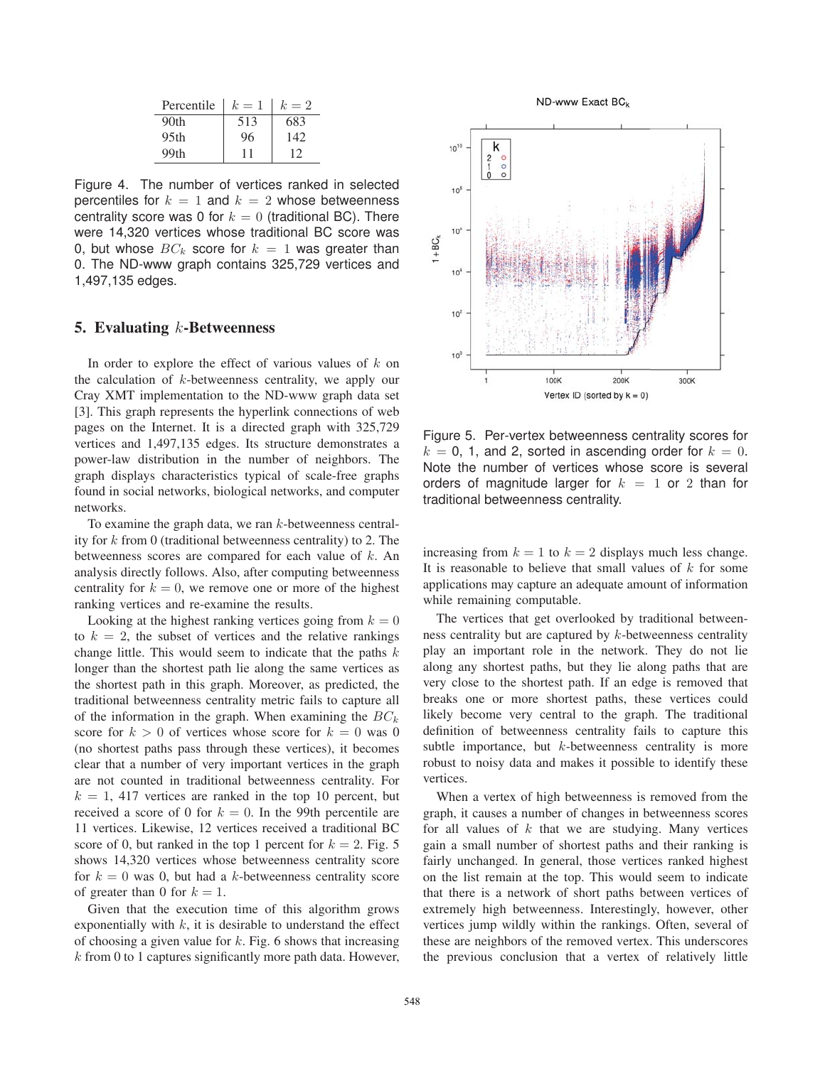| Percentile       | $k=1$ | $k=2$ |
|------------------|-------|-------|
| 90th             | 513   | 683   |
| 95 <sub>th</sub> | 96    | 142   |
| 99th             |       | 12    |

Figure 4. The number of vertices ranked in selected percentiles for  $k = 1$  and  $k = 2$  whose betweenness centrality score was 0 for  $k = 0$  (traditional BC). There were 14,320 vertices whose traditional BC score was 0, but whose  $BC_k$  score for  $k = 1$  was greater than 0. The ND-www graph contains 325,729 vertices and 1,497,135 edges.

### 5. Evaluating  $k$ -Betweenness

In order to explore the effect of various values of  $k$  on the calculation of k-betweenness centrality, we apply our Cray XMT implementation to the ND-www graph data set [3]. This graph represents the hyperlink connections of web pages on the Internet. It is a directed graph with 325,729 vertices and 1,497,135 edges. Its structure demonstrates a power-law distribution in the number of neighbors. The graph displays characteristics typical of scale-free graphs found in social networks, biological networks, and computer networks.

To examine the graph data, we ran  $k$ -betweenness centrality for  $k$  from 0 (traditional betweenness centrality) to 2. The betweenness scores are compared for each value of  $k$ . An analysis directly follows. Also, after computing betweenness centrality for  $k = 0$ , we remove one or more of the highest ranking vertices and re-examine the results.

Looking at the highest ranking vertices going from  $k = 0$ to  $k = 2$ , the subset of vertices and the relative rankings change little. This would seem to indicate that the paths  $k$ longer than the shortest path lie along the same vertices as the shortest path in this graph. Moreover, as predicted, the traditional betweenness centrality metric fails to capture all of the information in the graph. When examining the  $BC_k$ score for  $k > 0$  of vertices whose score for  $k = 0$  was 0 (no shortest paths pass through these vertices), it becomes clear that a number of very important vertices in the graph are not counted in traditional betweenness centrality. For  $k = 1$ , 417 vertices are ranked in the top 10 percent, but received a score of 0 for  $k = 0$ . In the 99th percentile are 11 vertices. Likewise, 12 vertices received a traditional BC score of 0, but ranked in the top 1 percent for  $k = 2$ . Fig. 5 shows 14,320 vertices whose betweenness centrality score for  $k = 0$  was 0, but had a k-betweenness centrality score of greater than 0 for  $k = 1$ .

Given that the execution time of this algorithm grows exponentially with  $k$ , it is desirable to understand the effect of choosing a given value for  $k$ . Fig. 6 shows that increasing  $k$  from 0 to 1 captures significantly more path data. However, ND-www Exact BC<sub>k</sub>



Figure 5. Per-vertex betweenness centrality scores for  $k = 0$ , 1, and 2, sorted in ascending order for  $k = 0$ . Note the number of vertices whose score is several orders of magnitude larger for  $k = 1$  or 2 than for traditional betweenness centrality.

increasing from  $k = 1$  to  $k = 2$  displays much less change. It is reasonable to believe that small values of  $k$  for some applications may capture an adequate amount of information while remaining computable.

The vertices that get overlooked by traditional betweenness centrality but are captured by  $k$ -betweenness centrality play an important role in the network. They do not lie along any shortest paths, but they lie along paths that are very close to the shortest path. If an edge is removed that breaks one or more shortest paths, these vertices could likely become very central to the graph. The traditional definition of betweenness centrality fails to capture this subtle importance, but  $k$ -betweenness centrality is more robust to noisy data and makes it possible to identify these vertices.

When a vertex of high betweenness is removed from the graph, it causes a number of changes in betweenness scores for all values of  $k$  that we are studying. Many vertices gain a small number of shortest paths and their ranking is fairly unchanged. In general, those vertices ranked highest on the list remain at the top. This would seem to indicate that there is a network of short paths between vertices of extremely high betweenness. Interestingly, however, other vertices jump wildly within the rankings. Often, several of these are neighbors of the removed vertex. This underscores the previous conclusion that a vertex of relatively little